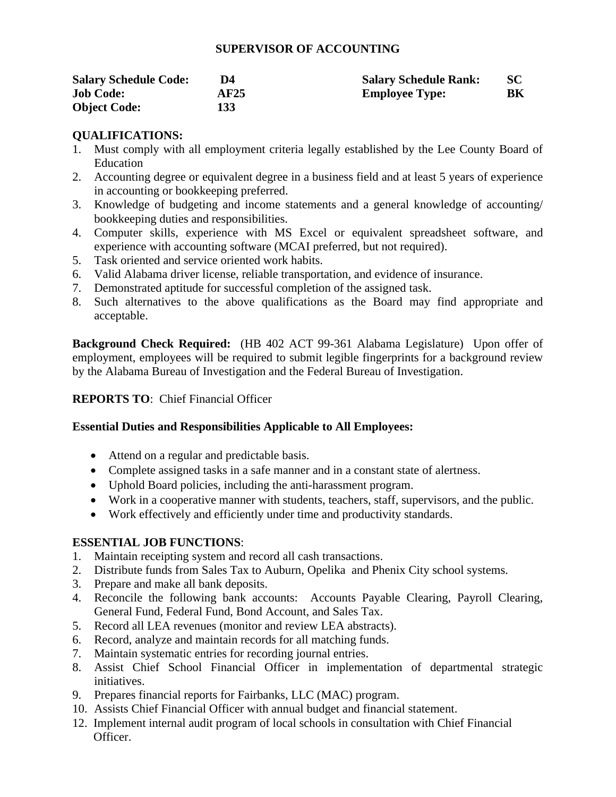#### **SUPERVISOR OF ACCOUNTING**

| <b>Salary Schedule Code:</b> | D4.  | <b>Salary Schedule Rank:</b> | SC |
|------------------------------|------|------------------------------|----|
| <b>Job Code:</b>             | AF25 | <b>Employee Type:</b>        | BК |
| <b>Object Code:</b>          | 133  |                              |    |

# **QUALIFICATIONS:**

- 1. Must comply with all employment criteria legally established by the Lee County Board of Education
- 2. Accounting degree or equivalent degree in a business field and at least 5 years of experience in accounting or bookkeeping preferred.
- 3. Knowledge of budgeting and income statements and a general knowledge of accounting/ bookkeeping duties and responsibilities.
- 4. Computer skills, experience with MS Excel or equivalent spreadsheet software, and experience with accounting software (MCAI preferred, but not required).
- 5. Task oriented and service oriented work habits.
- 6. Valid Alabama driver license, reliable transportation, and evidence of insurance.
- 7. Demonstrated aptitude for successful completion of the assigned task.
- 8. Such alternatives to the above qualifications as the Board may find appropriate and acceptable.

**Background Check Required:** (HB 402 ACT 99-361 Alabama Legislature) Upon offer of employment, employees will be required to submit legible fingerprints for a background review by the Alabama Bureau of Investigation and the Federal Bureau of Investigation.

# **REPORTS TO**: Chief Financial Officer

### **Essential Duties and Responsibilities Applicable to All Employees:**

- Attend on a regular and predictable basis.
- Complete assigned tasks in a safe manner and in a constant state of alertness.
- Uphold Board policies, including the anti-harassment program.
- Work in a cooperative manner with students, teachers, staff, supervisors, and the public.
- Work effectively and efficiently under time and productivity standards.

# **ESSENTIAL JOB FUNCTIONS**:

- 1. Maintain receipting system and record all cash transactions.
- 2. Distribute funds from Sales Tax to Auburn, Opelika and Phenix City school systems.
- 3. Prepare and make all bank deposits.
- 4. Reconcile the following bank accounts: Accounts Payable Clearing, Payroll Clearing, General Fund, Federal Fund, Bond Account, and Sales Tax.
- 5. Record all LEA revenues (monitor and review LEA abstracts).
- 6. Record, analyze and maintain records for all matching funds.
- 7. Maintain systematic entries for recording journal entries.
- 8. Assist Chief School Financial Officer in implementation of departmental strategic initiatives.
- 9. Prepares financial reports for Fairbanks, LLC (MAC) program.
- 10. Assists Chief Financial Officer with annual budget and financial statement.
- 12. Implement internal audit program of local schools in consultation with Chief Financial Officer.